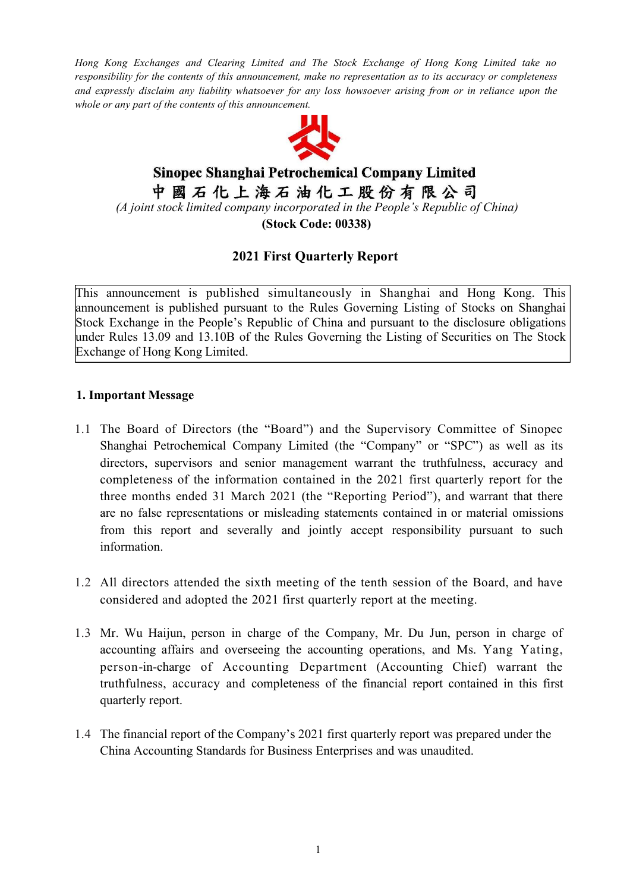*Hong Kong Exchanges and Clearing Limited and The Stock Exchange of Hong Kong Limited take no responsibility for the contents of this announcement, make no representation as to its accuracy or completeness* and expressly disclaim any liability whatsoever for any loss howsoever arising from or in reliance upon the *whole or any part of the contents of this announcement.*



# Sinopec Shanghai Petrochemical Company Limited 中國石化上海石油化工股份有限公司 *(A joint stock limited company incorporated in the People's Republic of China)* **(Stock Code: 00338)**

## **2021 First Quarterly Report**

This announcement is published simultaneously in Shanghai and Hong Kong. This announcement is published pursuant to the Rules Governing Listing of Stocks on Shanghai Stock Exchange in the People's Republic of China and pursuant to the disclosure obligations under Rules 13.09 and 13.10B of the Rules Governing the Listing of Securities on The Stock Exchange of Hong Kong Limited.

#### **1. Important Message**

- 1.1 The Board of Directors (the "Board") and the Supervisory Committee of Sinopec Shanghai Petrochemical Company Limited (the "Company" or "SPC") as well as its directors, supervisors and senior management warrant the truthfulness, accuracy and completeness of the information contained in the 2021 first quarterly report for the three months ended 31 March 2021 (the "Reporting Period"), and warrant that there are no false representations or misleading statements contained in or material omissions from this report and severally and jointly accept responsibility pursuant to such information.
- 1.2 All directors attended the sixth meeting of the tenth session of the Board, and have considered and adopted the 2021 first quarterly report at the meeting.
- 1.3 Mr. Wu Haijun, person in charge of the Company, Mr. Du Jun, person in charge of accounting affairs and overseeing the accounting operations, and Ms. Yang Yating, person-in-charge of Accounting Department (Accounting Chief) warrant the truthfulness, accuracy and completeness of the financial report contained in this first quarterly report.
- 1.4 The financial report of the Company's 2021 first quarterly report was prepared under the China Accounting Standards for Business Enterprises and was unaudited.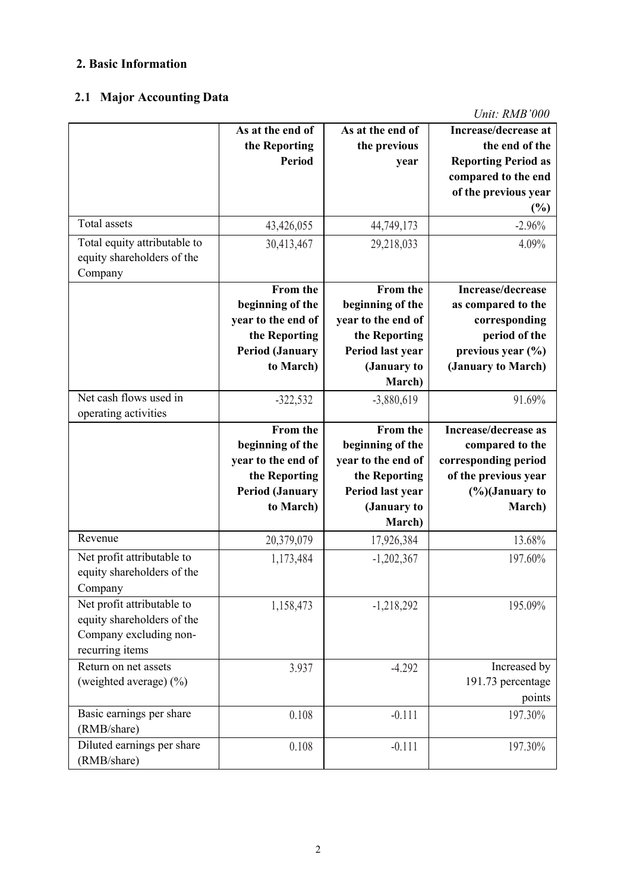#### **2. Basic Information**

# **2.1 Major Accounting Data**

|                                       | As at the end of                        | As at the end of                  | Increase/decrease at                              |
|---------------------------------------|-----------------------------------------|-----------------------------------|---------------------------------------------------|
|                                       | the Reporting<br><b>Period</b>          | the previous                      | the end of the                                    |
|                                       |                                         | year                              | <b>Reporting Period as</b><br>compared to the end |
|                                       |                                         |                                   | of the previous year                              |
|                                       |                                         |                                   | (%)                                               |
| Total assets                          | 43,426,055                              | 44,749,173                        | $-2.96%$                                          |
| Total equity attributable to          | 30,413,467                              | 29,218,033                        | 4.09%                                             |
| equity shareholders of the            |                                         |                                   |                                                   |
| Company                               |                                         |                                   |                                                   |
|                                       | From the                                | From the                          | Increase/decrease                                 |
|                                       | beginning of the                        | beginning of the                  | as compared to the                                |
|                                       | year to the end of                      | year to the end of                | corresponding                                     |
|                                       | the Reporting<br><b>Period (January</b> | the Reporting<br>Period last year | period of the<br>previous year $(\% )$            |
|                                       | to March)                               | (January to                       | (January to March)                                |
|                                       |                                         | March)                            |                                                   |
| Net cash flows used in                | $-322,532$                              | $-3,880,619$                      | 91.69%                                            |
| operating activities                  |                                         |                                   |                                                   |
|                                       | From the                                | From the                          | Increase/decrease as                              |
|                                       | beginning of the                        | beginning of the                  | compared to the                                   |
|                                       | year to the end of                      | year to the end of                | corresponding period                              |
|                                       | the Reporting                           | the Reporting                     | of the previous year                              |
|                                       | <b>Period (January</b>                  | Period last year                  | $(\%)$ January to                                 |
|                                       | to March)                               | (January to                       | March)                                            |
|                                       |                                         | March)                            |                                                   |
| Revenue                               | 20,379,079                              | 17,926,384                        | 13.68%                                            |
| Net profit attributable to            | 1,173,484                               | $-1,202,367$                      | 197.60%                                           |
| equity shareholders of the            |                                         |                                   |                                                   |
| Company<br>Net profit attributable to |                                         |                                   |                                                   |
| equity shareholders of the            | 1,158,473                               | $-1,218,292$                      | 195.09%                                           |
| Company excluding non-                |                                         |                                   |                                                   |
| recurring items                       |                                         |                                   |                                                   |
| Return on net assets                  | 3.937                                   | $-4.292$                          | Increased by                                      |
| (weighted average) $(\% )$            |                                         |                                   | 191.73 percentage                                 |
|                                       |                                         |                                   | points                                            |
| Basic earnings per share              | 0.108                                   | $-0.111$                          | 197.30%                                           |
| (RMB/share)                           |                                         |                                   |                                                   |
| Diluted earnings per share            | 0.108                                   | $-0.111$                          | 197.30%                                           |
| (RMB/share)                           |                                         |                                   |                                                   |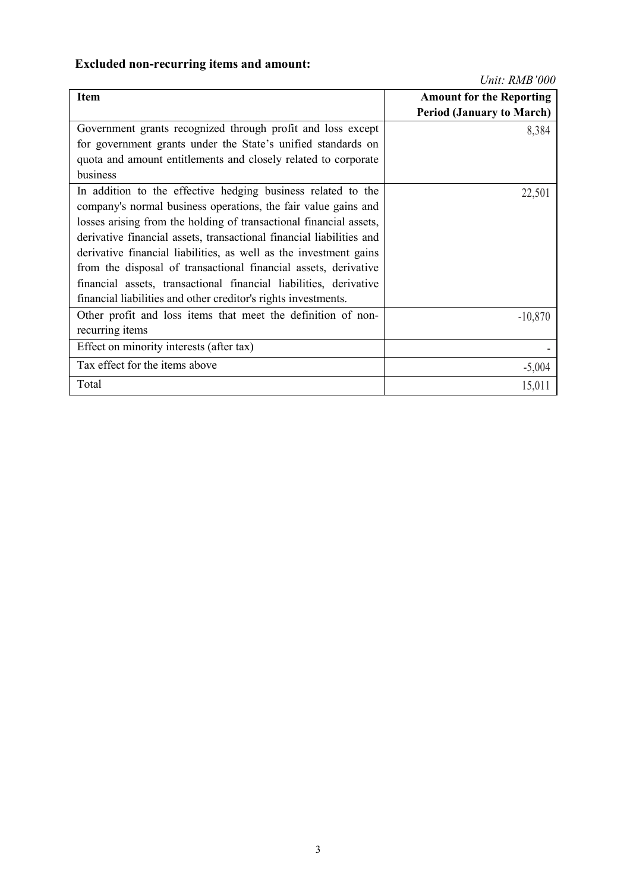# **Excluded non-recurring items and amount:**

| <b>Item</b>                                                          | <b>Amount for the Reporting</b>  |
|----------------------------------------------------------------------|----------------------------------|
|                                                                      | <b>Period (January to March)</b> |
| Government grants recognized through profit and loss except          | 8,384                            |
| for government grants under the State's unified standards on         |                                  |
| quota and amount entitlements and closely related to corporate       |                                  |
| business                                                             |                                  |
| In addition to the effective hedging business related to the         | 22,501                           |
| company's normal business operations, the fair value gains and       |                                  |
| losses arising from the holding of transactional financial assets,   |                                  |
| derivative financial assets, transactional financial liabilities and |                                  |
| derivative financial liabilities, as well as the investment gains    |                                  |
| from the disposal of transactional financial assets, derivative      |                                  |
| financial assets, transactional financial liabilities, derivative    |                                  |
| financial liabilities and other creditor's rights investments.       |                                  |
| Other profit and loss items that meet the definition of non-         | $-10,870$                        |
| recurring items                                                      |                                  |
| Effect on minority interests (after tax)                             |                                  |
| Tax effect for the items above                                       | $-5,004$                         |
| Total                                                                | 15,011                           |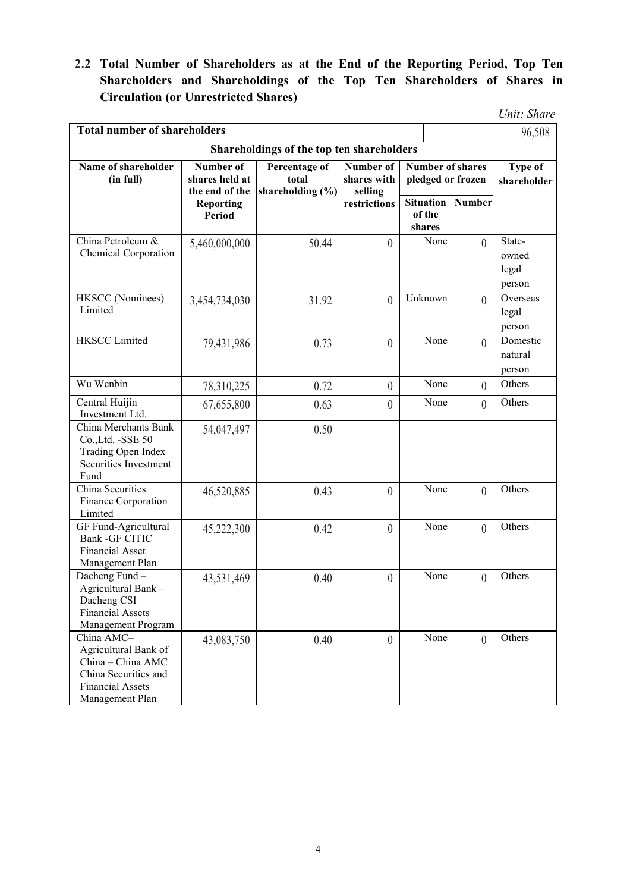**2.2 Total Number of Shareholders as at the End of the Reporting Period, Top Ten Shareholders and Shareholdings of the Top Ten Shareholders of Shares in Circulation (or Unrestricted Shares)**

*Unit: Share*

| <b>Total number of shareholders</b>                                                                                           |                                               |                                                |                                     |  |                                              |          | 96,508                             |
|-------------------------------------------------------------------------------------------------------------------------------|-----------------------------------------------|------------------------------------------------|-------------------------------------|--|----------------------------------------------|----------|------------------------------------|
|                                                                                                                               |                                               | Shareholdings of the top ten shareholders      |                                     |  |                                              |          |                                    |
| Name of shareholder<br>(in full)                                                                                              | Number of<br>shares held at<br>the end of the | Percentage of<br>total<br>shareholding $(\% )$ | Number of<br>shares with<br>selling |  | <b>Number of shares</b><br>pledged or frozen |          | <b>Type of</b><br>shareholder      |
|                                                                                                                               | <b>Reporting</b><br><b>Period</b>             |                                                | restrictions                        |  | <b>Situation</b><br>of the<br>shares         | Number   |                                    |
| China Petroleum &<br>Chemical Corporation                                                                                     | 5,460,000,000                                 | 50.44                                          | $\theta$                            |  | None                                         | $\theta$ | State-<br>owned<br>legal<br>person |
| HKSCC (Nominees)<br>Limited                                                                                                   | 3,454,734,030                                 | 31.92                                          | $\theta$                            |  | Unknown                                      | $\theta$ | Overseas<br>legal<br>person        |
| <b>HKSCC</b> Limited                                                                                                          | 79,431,986                                    | 0.73                                           | $\theta$                            |  | None                                         | $\theta$ | Domestic<br>natural<br>person      |
| Wu Wenbin                                                                                                                     | 78,310,225                                    | 0.72                                           | $\overline{0}$                      |  | None                                         | $\theta$ | Others                             |
| Central Huijin<br>Investment Ltd.                                                                                             | 67,655,800                                    | 0.63                                           | $\overline{0}$                      |  | None                                         | $\theta$ | Others                             |
| China Merchants Bank<br>Co., Ltd. - SSE 50<br>Trading Open Index<br>Securities Investment<br>Fund                             | 54,047,497                                    | 0.50                                           |                                     |  |                                              |          |                                    |
| China Securities<br>Finance Corporation<br>Limited                                                                            | 46,520,885                                    | 0.43                                           | $\theta$                            |  | None                                         | $\theta$ | Others                             |
| GF Fund-Agricultural<br>Bank - GF CITIC<br>Financial Asset<br>Management Plan                                                 | 45,222,300                                    | 0.42                                           | $\theta$                            |  | None                                         | $\theta$ | Others                             |
| Dacheng Fund-<br>Agricultural Bank -<br>Dacheng CSI<br><b>Financial Assets</b><br>Management Program                          | 43,531,469                                    | 0.40                                           | $\theta$                            |  | None                                         | $\theta$ | Others                             |
| China AMC-<br>Agricultural Bank of<br>China - China AMC<br>China Securities and<br><b>Financial Assets</b><br>Management Plan | 43,083,750                                    | 0.40                                           | $\overline{0}$                      |  | None                                         | $\theta$ | Others                             |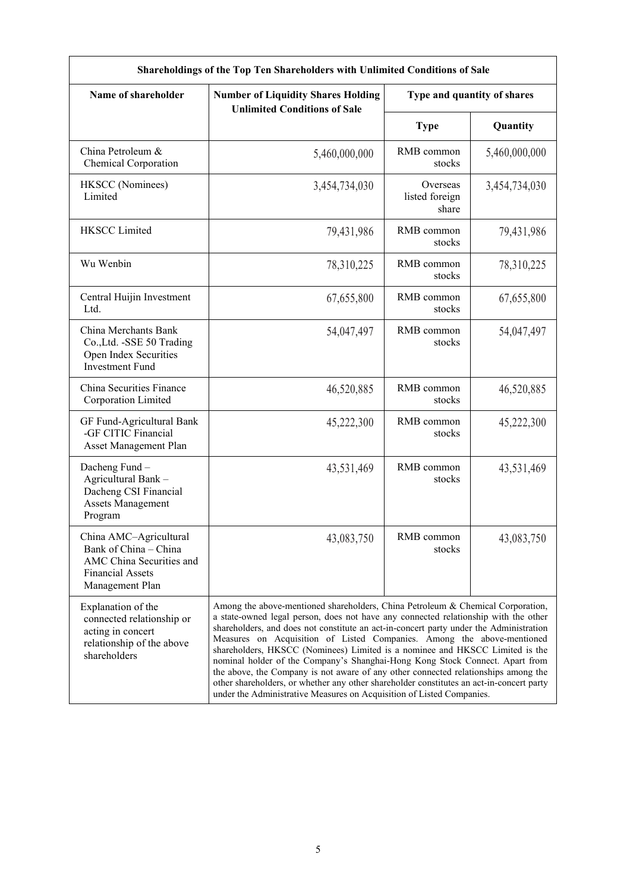| Name of shareholder                                                                                                       | <b>Number of Liquidity Shares Holding</b>                                                                                                                                                                                                                                                                                                                                                                                                                                                                                                                                                                                                                                                                                                                             |                                     | Type and quantity of shares |  |  |  |
|---------------------------------------------------------------------------------------------------------------------------|-----------------------------------------------------------------------------------------------------------------------------------------------------------------------------------------------------------------------------------------------------------------------------------------------------------------------------------------------------------------------------------------------------------------------------------------------------------------------------------------------------------------------------------------------------------------------------------------------------------------------------------------------------------------------------------------------------------------------------------------------------------------------|-------------------------------------|-----------------------------|--|--|--|
|                                                                                                                           | <b>Unlimited Conditions of Sale</b>                                                                                                                                                                                                                                                                                                                                                                                                                                                                                                                                                                                                                                                                                                                                   |                                     |                             |  |  |  |
|                                                                                                                           |                                                                                                                                                                                                                                                                                                                                                                                                                                                                                                                                                                                                                                                                                                                                                                       | <b>Type</b>                         | Quantity                    |  |  |  |
| China Petroleum &<br>Chemical Corporation                                                                                 | 5,460,000,000                                                                                                                                                                                                                                                                                                                                                                                                                                                                                                                                                                                                                                                                                                                                                         | RMB common<br>stocks                | 5,460,000,000               |  |  |  |
| HKSCC (Nominees)<br>Limited                                                                                               | 3,454,734,030                                                                                                                                                                                                                                                                                                                                                                                                                                                                                                                                                                                                                                                                                                                                                         | Overseas<br>listed foreign<br>share | 3,454,734,030               |  |  |  |
| <b>HKSCC Limited</b>                                                                                                      | 79,431,986                                                                                                                                                                                                                                                                                                                                                                                                                                                                                                                                                                                                                                                                                                                                                            | RMB common<br>stocks                | 79,431,986                  |  |  |  |
| Wu Wenbin                                                                                                                 | 78,310,225                                                                                                                                                                                                                                                                                                                                                                                                                                                                                                                                                                                                                                                                                                                                                            | RMB common<br>stocks                | 78,310,225                  |  |  |  |
| Central Huijin Investment<br>Ltd.                                                                                         | 67,655,800                                                                                                                                                                                                                                                                                                                                                                                                                                                                                                                                                                                                                                                                                                                                                            | RMB common<br>stocks                | 67,655,800                  |  |  |  |
| China Merchants Bank<br>Co., Ltd. - SSE 50 Trading<br>Open Index Securities<br><b>Investment Fund</b>                     | 54,047,497                                                                                                                                                                                                                                                                                                                                                                                                                                                                                                                                                                                                                                                                                                                                                            | RMB common<br>stocks                | 54,047,497                  |  |  |  |
| China Securities Finance<br>Corporation Limited                                                                           | 46,520,885                                                                                                                                                                                                                                                                                                                                                                                                                                                                                                                                                                                                                                                                                                                                                            | RMB common<br>stocks                | 46,520,885                  |  |  |  |
| GF Fund-Agricultural Bank<br>-GF CITIC Financial<br>Asset Management Plan                                                 | 45,222,300                                                                                                                                                                                                                                                                                                                                                                                                                                                                                                                                                                                                                                                                                                                                                            | RMB common<br>stocks                | 45,222,300                  |  |  |  |
| Dacheng Fund-<br>Agricultural Bank -<br>Dacheng CSI Financial<br><b>Assets Management</b><br>Program                      | 43,531,469                                                                                                                                                                                                                                                                                                                                                                                                                                                                                                                                                                                                                                                                                                                                                            | RMB common<br>stocks                | 43,531,469                  |  |  |  |
| China AMC-Agricultural<br>Bank of China – China<br>AMC China Securities and<br><b>Financial Assets</b><br>Management Plan | 43,083,750                                                                                                                                                                                                                                                                                                                                                                                                                                                                                                                                                                                                                                                                                                                                                            | RMB common<br>stocks                | 43,083,750                  |  |  |  |
| Explanation of the<br>connected relationship or<br>acting in concert<br>relationship of the above<br>shareholders         | Among the above-mentioned shareholders, China Petroleum & Chemical Corporation,<br>a state-owned legal person, does not have any connected relationship with the other<br>shareholders, and does not constitute an act-in-concert party under the Administration<br>Measures on Acquisition of Listed Companies. Among the above-mentioned<br>shareholders, HKSCC (Nominees) Limited is a nominee and HKSCC Limited is the<br>nominal holder of the Company's Shanghai-Hong Kong Stock Connect. Apart from<br>the above, the Company is not aware of any other connected relationships among the<br>other shareholders, or whether any other shareholder constitutes an act-in-concert party<br>under the Administrative Measures on Acquisition of Listed Companies. |                                     |                             |  |  |  |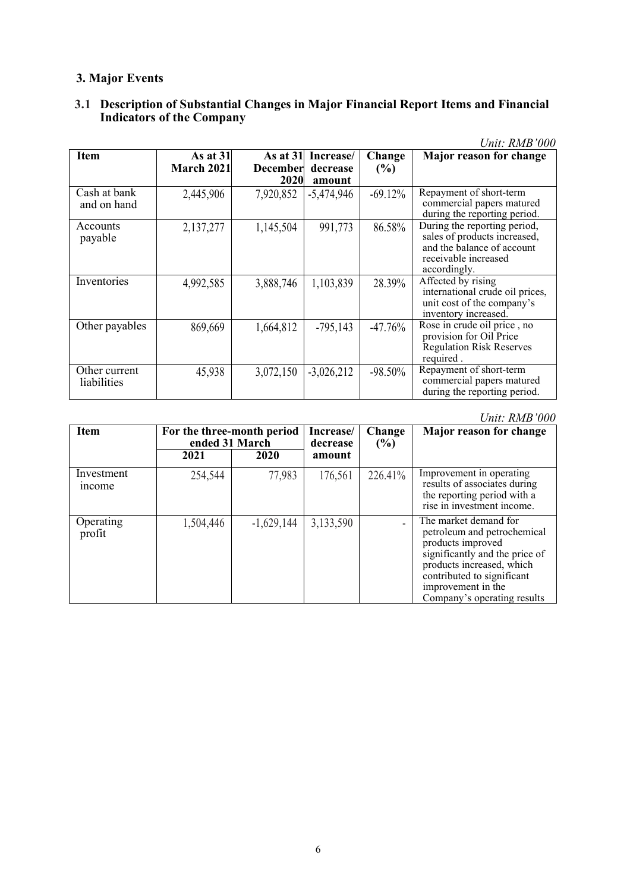# **3. Major Events**

#### **3.1 Description of Substantial Changes in Major Financial Report Items and Financial Indicators** of the Company

|                              |            |            |              |           | Unit: RMB'000                                                                                                                      |
|------------------------------|------------|------------|--------------|-----------|------------------------------------------------------------------------------------------------------------------------------------|
| <b>Item</b>                  | As at $31$ | As at $31$ | Increase/    | Change    | Major reason for change                                                                                                            |
|                              | March 2021 | December   | decrease     | (%)       |                                                                                                                                    |
|                              |            | 2020       | amount       |           |                                                                                                                                    |
| Cash at bank<br>and on hand  | 2,445,906  | 7,920,852  | $-5,474,946$ | $-69.12%$ | Repayment of short-term<br>commercial papers matured<br>during the reporting period.                                               |
| Accounts<br>payable          | 2,137,277  | 1,145,504  | 991,773      | 86.58%    | During the reporting period,<br>sales of products increased,<br>and the balance of account<br>receivable increased<br>accordingly. |
| Inventories                  | 4,992,585  | 3,888,746  | 1,103,839    | 28.39%    | Affected by rising<br>international crude oil prices,<br>unit cost of the company's<br>inventory increased.                        |
| Other payables               | 869,669    | 1,664,812  | $-795,143$   | $-47.76%$ | Rose in crude oil price, no<br>provision for Oil Price<br><b>Regulation Risk Reserves</b><br>required.                             |
| Other current<br>liabilities | 45,938     | 3,072,150  | $-3,026,212$ | $-98.50%$ | Repayment of short-term<br>commercial papers matured<br>during the reporting period.                                               |

| <b>Item</b>                 | For the three-month period<br>ended 31 March |              | Increase/<br>decrease | Change<br>(%) | Major reason for change                                                                                                                                                                                                     |
|-----------------------------|----------------------------------------------|--------------|-----------------------|---------------|-----------------------------------------------------------------------------------------------------------------------------------------------------------------------------------------------------------------------------|
|                             | 2021                                         | 2020         | amount                |               |                                                                                                                                                                                                                             |
| Investment<br><i>n</i> come | 254,544                                      | 77,983       | 176,561               | 226.41%       | Improvement in operating<br>results of associates during<br>the reporting period with a<br>rise in investment income.                                                                                                       |
| Operating<br>profit         | 1,504,446                                    | $-1,629,144$ | 3,133,590             |               | The market demand for<br>petroleum and petrochemical<br>products improved<br>significantly and the price of<br>products increased, which<br>contributed to significant<br>improvement in the<br>Company's operating results |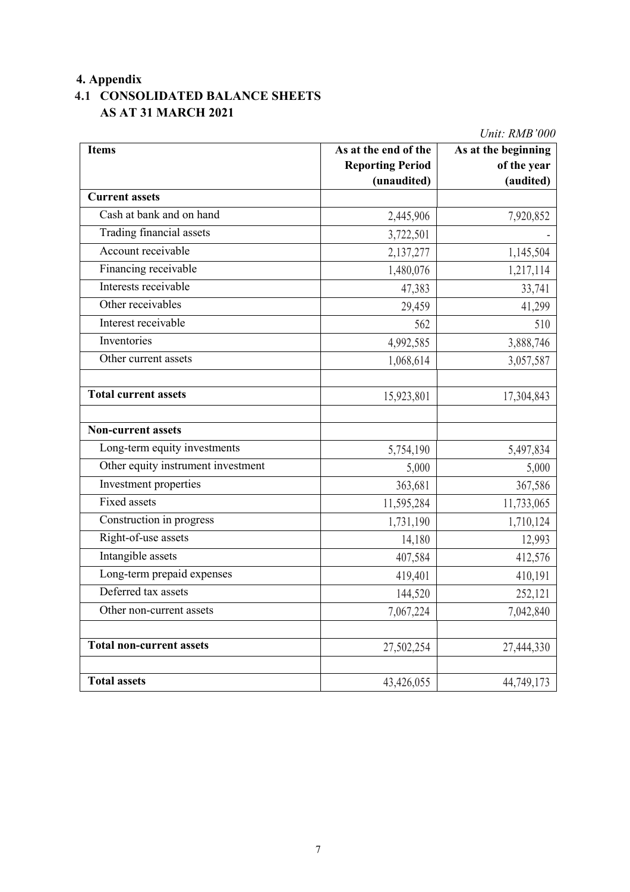# **4. Appendix**

# **4.1 CONSOLIDATED BALANCE SHEETS AS AT 31 MARCH 2021**

| om. nmo vvo                        |                         |                     |  |  |
|------------------------------------|-------------------------|---------------------|--|--|
| <b>Items</b>                       | As at the end of the    | As at the beginning |  |  |
|                                    | <b>Reporting Period</b> | of the year         |  |  |
|                                    | (unaudited)             | (audited)           |  |  |
| <b>Current assets</b>              |                         |                     |  |  |
| Cash at bank and on hand           | 2,445,906               | 7,920,852           |  |  |
| Trading financial assets           | 3,722,501               |                     |  |  |
| Account receivable                 | 2,137,277               | 1,145,504           |  |  |
| Financing receivable               | 1,480,076               | 1,217,114           |  |  |
| Interests receivable               | 47,383                  | 33,741              |  |  |
| Other receivables                  | 29,459                  | 41,299              |  |  |
| Interest receivable                | 562                     | 510                 |  |  |
| Inventories                        | 4,992,585               | 3,888,746           |  |  |
| Other current assets               | 1,068,614               | 3,057,587           |  |  |
|                                    |                         |                     |  |  |
| <b>Total current assets</b>        | 15,923,801              | 17,304,843          |  |  |
|                                    |                         |                     |  |  |
| Non-current assets                 |                         |                     |  |  |
| Long-term equity investments       | 5,754,190               | 5,497,834           |  |  |
| Other equity instrument investment | 5,000                   | 5,000               |  |  |
| Investment properties              | 363,681                 | 367,586             |  |  |
| <b>Fixed assets</b>                | 11,595,284              | 11,733,065          |  |  |
| Construction in progress           | 1,731,190               | 1,710,124           |  |  |
| Right-of-use assets                | 14,180                  | 12,993              |  |  |
| Intangible assets                  | 407,584                 | 412,576             |  |  |
| Long-term prepaid expenses         | 419,401                 | 410,191             |  |  |
| Deferred tax assets                | 144,520                 | 252,121             |  |  |
| Other non-current assets           | 7,067,224               | 7,042,840           |  |  |
|                                    |                         |                     |  |  |
| <b>Total non-current assets</b>    | 27,502,254              | 27,444,330          |  |  |
|                                    |                         |                     |  |  |
| <b>Total assets</b>                | 43,426,055              | 44,749,173          |  |  |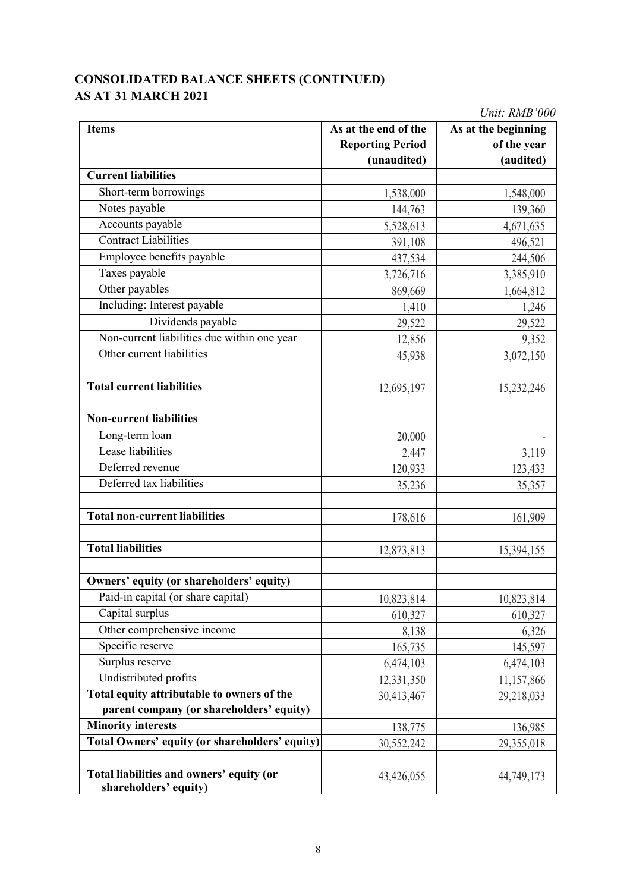# **CONSOLIDATED BALANCE SHEETS (CONTINUED) AS AT 31 MARCH 2021**

| <b>Items</b>                                                      | As at the end of the    | As at the beginning |
|-------------------------------------------------------------------|-------------------------|---------------------|
|                                                                   | <b>Reporting Period</b> | of the year         |
| <b>Current liabilities</b>                                        | (unaudited)             | (audited)           |
|                                                                   |                         |                     |
| Short-term borrowings                                             | 1,538,000               | 1,548,000           |
| Notes payable                                                     | 144,763                 | 139,360             |
| Accounts payable                                                  | 5,528,613               | 4,671,635           |
| <b>Contract Liabilities</b>                                       | 391,108                 | 496,521             |
| Employee benefits payable                                         | 437,534                 | 244,506             |
| Taxes payable                                                     | 3,726,716               | 3,385,910           |
| Other payables                                                    | 869,669                 | 1,664,812           |
| Including: Interest payable                                       | 1,410                   | 1,246               |
| Dividends payable                                                 | 29,522                  | 29,522              |
| Non-current liabilities due within one year                       | 12,856                  | 9,352               |
| Other current liabilities                                         | 45,938                  | 3,072,150           |
| <b>Total current liabilities</b>                                  | 12,695,197              | 15,232,246          |
|                                                                   |                         |                     |
| <b>Non-current liabilities</b>                                    |                         |                     |
| Long-term loan                                                    | 20,000                  |                     |
| Lease liabilities                                                 | 2,447                   | 3,119               |
| Deferred revenue                                                  | 120,933                 | 123,433             |
| Deferred tax liabilities                                          | 35,236                  | 35,357              |
| <b>Total non-current liabilities</b>                              | 178,616                 | 161,909             |
| <b>Total liabilities</b>                                          | 12,873,813              | 15,394,155          |
| Owners' equity (or shareholders' equity)                          |                         |                     |
| Paid-in capital (or share capital)                                | 10,823,814              | 10,823,814          |
| Capital surplus                                                   | 610,327                 | 610,327             |
| Other comprehensive income                                        | 8,138                   | 6,326               |
| Specific reserve                                                  | 165,735                 | 145,597             |
| Surplus reserve                                                   | 6,474,103               | 6,474,103           |
| Undistributed profits                                             | 12,331,350              | 11,157,866          |
| Total equity attributable to owners of the                        | 30,413,467              | 29,218,033          |
| parent company (or shareholders' equity)                          |                         |                     |
| <b>Minority interests</b>                                         | 138,775                 | 136,985             |
| Total Owners' equity (or shareholders' equity)                    | 30,552,242              | 29,355,018          |
| Total liabilities and owners' equity (or<br>shareholders' equity) | 43,426,055              | 44,749,173          |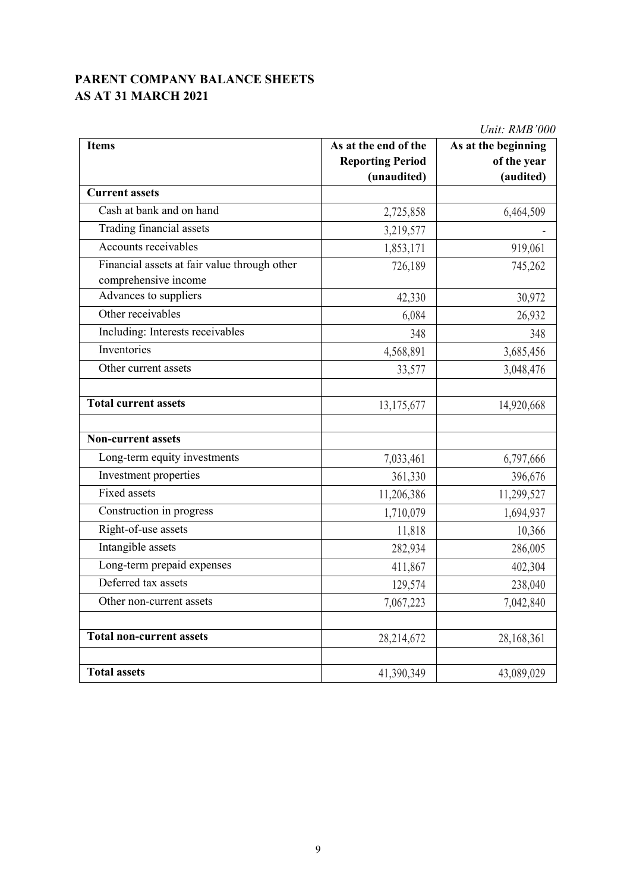## **PARENT COMPANY BALANCE SHEETS AS AT 31 MARCH 2021**

| Unit: RMB'000                                                        |                         |                     |  |  |
|----------------------------------------------------------------------|-------------------------|---------------------|--|--|
| <b>Items</b>                                                         | As at the end of the    | As at the beginning |  |  |
|                                                                      | <b>Reporting Period</b> | of the year         |  |  |
|                                                                      | (unaudited)             | (audited)           |  |  |
| <b>Current assets</b>                                                |                         |                     |  |  |
| Cash at bank and on hand                                             | 2,725,858               | 6,464,509           |  |  |
| Trading financial assets                                             | 3,219,577               |                     |  |  |
| Accounts receivables                                                 | 1,853,171               | 919,061             |  |  |
| Financial assets at fair value through other<br>comprehensive income | 726,189                 | 745,262             |  |  |
| Advances to suppliers                                                | 42,330                  | 30,972              |  |  |
| Other receivables                                                    | 6,084                   | 26,932              |  |  |
| Including: Interests receivables                                     | 348                     | 348                 |  |  |
| Inventories                                                          | 4,568,891               | 3,685,456           |  |  |
| Other current assets                                                 | 33,577                  | 3,048,476           |  |  |
|                                                                      |                         |                     |  |  |
| <b>Total current assets</b>                                          | 13,175,677              | 14,920,668          |  |  |
|                                                                      |                         |                     |  |  |
| <b>Non-current assets</b>                                            |                         |                     |  |  |
| Long-term equity investments                                         | 7,033,461               | 6,797,666           |  |  |
| Investment properties                                                | 361,330                 | 396,676             |  |  |
| Fixed assets                                                         | 11,206,386              | 11,299,527          |  |  |
| Construction in progress                                             | 1,710,079               | 1,694,937           |  |  |
| Right-of-use assets                                                  | 11,818                  | 10,366              |  |  |
| Intangible assets                                                    | 282,934                 | 286,005             |  |  |
| Long-term prepaid expenses                                           | 411,867                 | 402,304             |  |  |
| Deferred tax assets                                                  | 129,574                 | 238,040             |  |  |
| Other non-current assets                                             | 7,067,223               | 7,042,840           |  |  |
|                                                                      |                         |                     |  |  |
| <b>Total non-current assets</b>                                      | 28,214,672              | 28,168,361          |  |  |
| <b>Total assets</b>                                                  | 41,390,349              | 43,089,029          |  |  |
|                                                                      |                         |                     |  |  |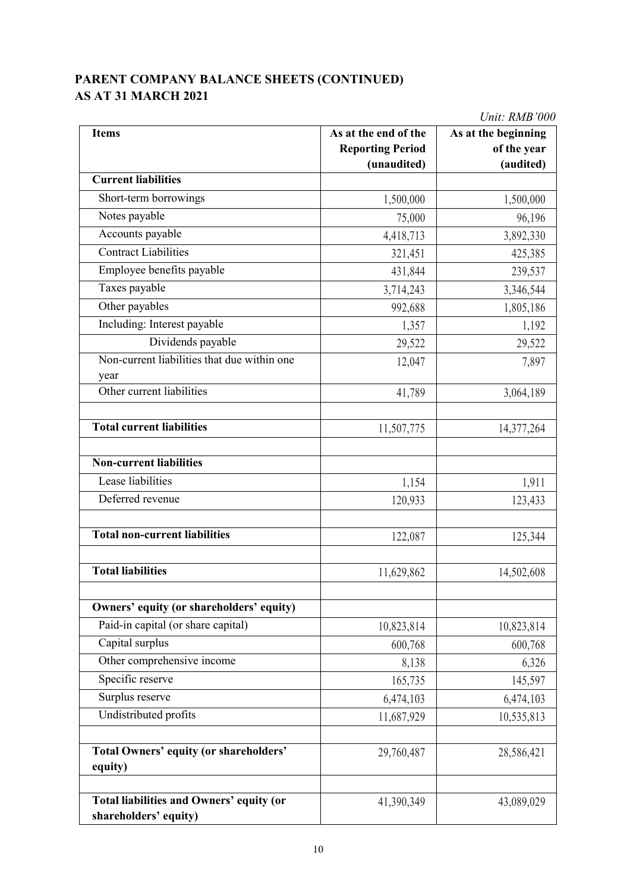## **PARENT COMPANY BALANCE SHEETS (CONTINUED) AS AT 31 MARCH 2021**

|                                               |                         | Unit: RMB'000       |  |  |  |
|-----------------------------------------------|-------------------------|---------------------|--|--|--|
| <b>Items</b>                                  | As at the end of the    | As at the beginning |  |  |  |
|                                               | <b>Reporting Period</b> | of the year         |  |  |  |
|                                               | (unaudited)             | (audited)           |  |  |  |
| <b>Current liabilities</b>                    |                         |                     |  |  |  |
| Short-term borrowings                         | 1,500,000               | 1,500,000           |  |  |  |
| Notes payable                                 | 75,000                  | 96,196              |  |  |  |
| Accounts payable                              | 4,418,713               | 3,892,330           |  |  |  |
| <b>Contract Liabilities</b>                   | 321,451                 | 425,385             |  |  |  |
| Employee benefits payable                     | 431,844                 | 239,537             |  |  |  |
| Taxes payable                                 | 3,714,243               | 3,346,544           |  |  |  |
| Other payables                                | 992,688                 | 1,805,186           |  |  |  |
| Including: Interest payable                   | 1,357                   | 1,192               |  |  |  |
| Dividends payable                             | 29,522                  | 29,522              |  |  |  |
| Non-current liabilities that due within one   | 12,047                  | 7,897               |  |  |  |
| year                                          |                         |                     |  |  |  |
| Other current liabilities                     | 41,789                  | 3,064,189           |  |  |  |
|                                               |                         |                     |  |  |  |
| <b>Total current liabilities</b>              | 11,507,775              | 14,377,264          |  |  |  |
|                                               |                         |                     |  |  |  |
| <b>Non-current liabilities</b>                |                         |                     |  |  |  |
| Lease liabilities                             | 1,154                   | 1,911               |  |  |  |
| Deferred revenue                              | 120,933                 | 123,433             |  |  |  |
|                                               |                         |                     |  |  |  |
| <b>Total non-current liabilities</b>          | 122,087                 | 125,344             |  |  |  |
|                                               |                         |                     |  |  |  |
| <b>Total liabilities</b>                      | 11,629,862              | 14,502,608          |  |  |  |
|                                               |                         |                     |  |  |  |
| Owners' equity (or shareholders' equity)      |                         |                     |  |  |  |
| Paid-in capital (or share capital)            | 10,823,814              | 10,823,814          |  |  |  |
| Capital surplus                               | 600,768                 | 600,768             |  |  |  |
| Other comprehensive income                    | 8,138                   | 6,326               |  |  |  |
| Specific reserve                              | 165,735                 | 145,597             |  |  |  |
| Surplus reserve                               | 6,474,103               | 6,474,103           |  |  |  |
| Undistributed profits                         | 11,687,929              | 10,535,813          |  |  |  |
|                                               |                         |                     |  |  |  |
| <b>Total Owners' equity (or shareholders'</b> | 29,760,487              | 28,586,421          |  |  |  |
| equity)                                       |                         |                     |  |  |  |
|                                               |                         |                     |  |  |  |
| Total liabilities and Owners' equity (or      | 41,390,349              | 43,089,029          |  |  |  |
| shareholders' equity)                         |                         |                     |  |  |  |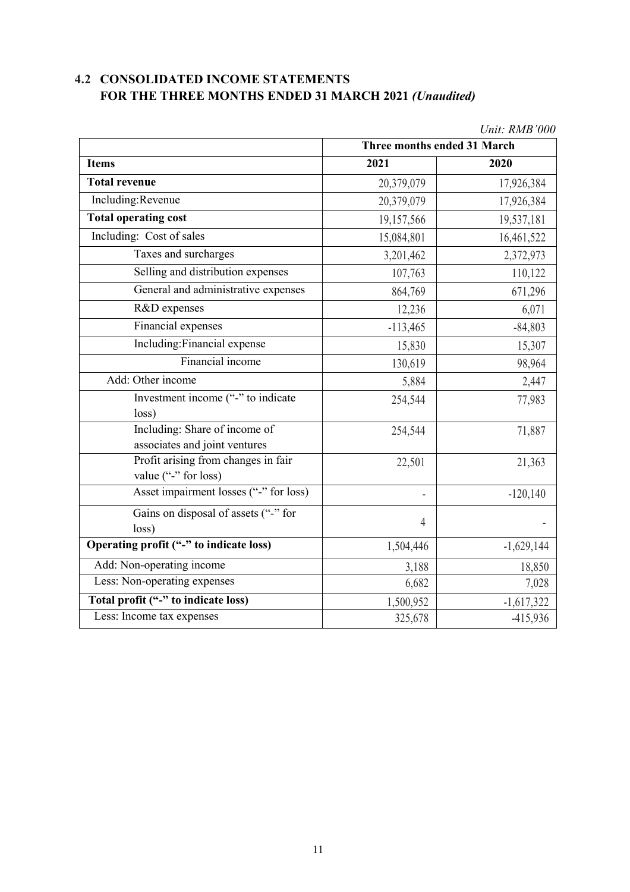# **4.2 CONSOLIDATED INCOME STATEMENTS FOR THE THREE MONTHS ENDED 31 MARCH 2021** *(Unaudited)*

|                                                                | Three months ended 31 March |              |  |  |  |
|----------------------------------------------------------------|-----------------------------|--------------|--|--|--|
| <b>Items</b>                                                   | 2021                        | 2020         |  |  |  |
| <b>Total revenue</b>                                           | 20,379,079                  | 17,926,384   |  |  |  |
| Including:Revenue                                              | 20,379,079                  | 17,926,384   |  |  |  |
| <b>Total operating cost</b>                                    | 19,157,566                  | 19,537,181   |  |  |  |
| Including: Cost of sales                                       | 15,084,801                  | 16,461,522   |  |  |  |
| Taxes and surcharges                                           | 3,201,462                   | 2,372,973    |  |  |  |
| Selling and distribution expenses                              | 107,763                     | 110,122      |  |  |  |
| General and administrative expenses                            | 864,769                     | 671,296      |  |  |  |
| R&D expenses                                                   | 12,236                      | 6,071        |  |  |  |
| Financial expenses                                             | $-113,465$                  | $-84,803$    |  |  |  |
| Including: Financial expense                                   | 15,830                      | 15,307       |  |  |  |
| Financial income                                               | 130,619                     | 98,964       |  |  |  |
| Add: Other income                                              | 5,884                       | 2,447        |  |  |  |
| Investment income ("-" to indicate<br>loss)                    | 254,544                     | 77,983       |  |  |  |
| Including: Share of income of<br>associates and joint ventures | 254,544                     | 71,887       |  |  |  |
| Profit arising from changes in fair<br>value ("-" for loss)    | 22,501                      | 21,363       |  |  |  |
| Asset impairment losses ("-" for loss)                         | ÷,                          | $-120,140$   |  |  |  |
| Gains on disposal of assets ("-" for<br>loss)                  | 4                           |              |  |  |  |
| Operating profit ("-" to indicate loss)                        | 1,504,446                   | $-1,629,144$ |  |  |  |
| Add: Non-operating income                                      | 3,188                       | 18,850       |  |  |  |
| Less: Non-operating expenses                                   | 6,682                       | 7,028        |  |  |  |
| Total profit ("-" to indicate loss)                            | 1,500,952                   | $-1,617,322$ |  |  |  |
| Less: Income tax expenses                                      | 325,678                     | $-415,936$   |  |  |  |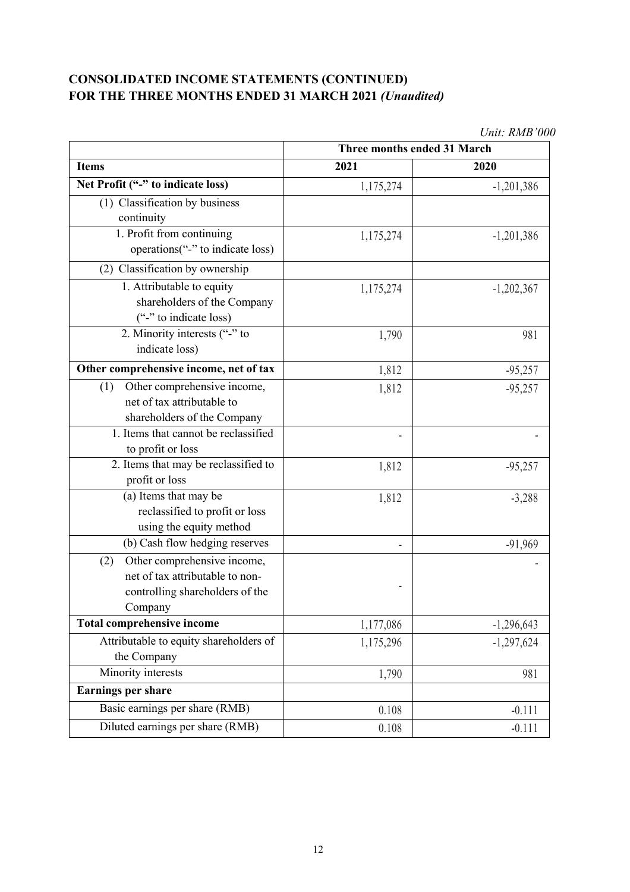# **CONSOLIDATED INCOME STATEMENTS (CONTINUED) FOR THE THREE MONTHS ENDED 31 MARCH 2021** *(Unaudited)*

|                                                                                                                     | UNII. IWID UUU<br>Three months ended 31 March |              |  |  |  |
|---------------------------------------------------------------------------------------------------------------------|-----------------------------------------------|--------------|--|--|--|
| <b>Items</b>                                                                                                        | 2021                                          | 2020         |  |  |  |
| Net Profit ("-" to indicate loss)                                                                                   | 1,175,274                                     | $-1,201,386$ |  |  |  |
| (1) Classification by business                                                                                      |                                               |              |  |  |  |
| continuity                                                                                                          |                                               |              |  |  |  |
| 1. Profit from continuing<br>operations("-" to indicate loss)                                                       | 1,175,274                                     | $-1,201,386$ |  |  |  |
| (2) Classification by ownership                                                                                     |                                               |              |  |  |  |
| 1. Attributable to equity<br>shareholders of the Company<br>("-" to indicate loss)                                  | 1,175,274                                     | $-1,202,367$ |  |  |  |
| 2. Minority interests ("-" to<br>indicate loss)                                                                     | 1,790                                         | 981          |  |  |  |
| Other comprehensive income, net of tax                                                                              | 1,812                                         | $-95,257$    |  |  |  |
| Other comprehensive income,<br>(1)<br>net of tax attributable to                                                    | 1,812                                         | $-95,257$    |  |  |  |
| shareholders of the Company                                                                                         |                                               |              |  |  |  |
| 1. Items that cannot be reclassified                                                                                |                                               |              |  |  |  |
| to profit or loss                                                                                                   |                                               |              |  |  |  |
| 2. Items that may be reclassified to<br>profit or loss                                                              | 1,812                                         | $-95,257$    |  |  |  |
| (a) Items that may be                                                                                               | 1,812                                         | $-3,288$     |  |  |  |
| reclassified to profit or loss                                                                                      |                                               |              |  |  |  |
| using the equity method                                                                                             |                                               |              |  |  |  |
| (b) Cash flow hedging reserves                                                                                      |                                               | $-91,969$    |  |  |  |
| Other comprehensive income,<br>(2)<br>net of tax attributable to non-<br>controlling shareholders of the<br>Company | -                                             |              |  |  |  |
| <b>Total comprehensive income</b>                                                                                   | 1,177,086                                     | $-1,296,643$ |  |  |  |
| Attributable to equity shareholders of<br>the Company                                                               | 1,175,296                                     | $-1,297,624$ |  |  |  |
| Minority interests                                                                                                  | 1,790                                         | 981          |  |  |  |
| <b>Earnings per share</b>                                                                                           |                                               |              |  |  |  |
| Basic earnings per share (RMB)                                                                                      | 0.108                                         | $-0.111$     |  |  |  |
| Diluted earnings per share (RMB)                                                                                    | 0.108                                         | $-0.111$     |  |  |  |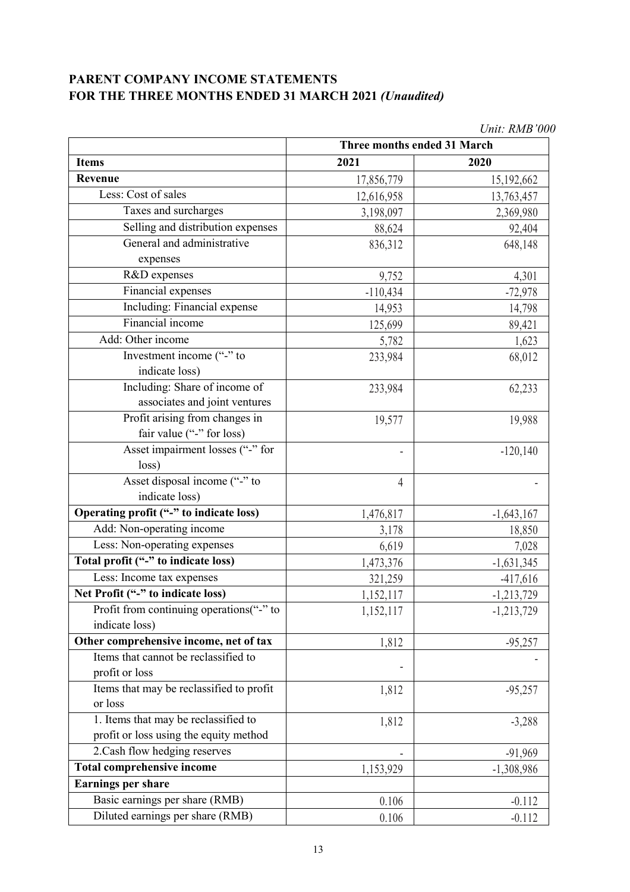# **PARENT COMPANY INCOME STATEMENTS FOR THE THREE MONTHS ENDED 31 MARCH 2021** *(Unaudited)*

|                                          | Unit: RMB'000               |              |  |
|------------------------------------------|-----------------------------|--------------|--|
|                                          | Three months ended 31 March |              |  |
| <b>Items</b>                             | 2021                        | 2020         |  |
| <b>Revenue</b>                           | 17,856,779                  | 15,192,662   |  |
| Less: Cost of sales                      | 12,616,958                  | 13,763,457   |  |
| Taxes and surcharges                     | 3,198,097                   | 2,369,980    |  |
| Selling and distribution expenses        | 88,624                      | 92,404       |  |
| General and administrative               | 836,312                     | 648,148      |  |
| expenses                                 |                             |              |  |
| R&D expenses                             | 9,752                       | 4,301        |  |
| Financial expenses                       | $-110,434$                  | $-72,978$    |  |
| Including: Financial expense             | 14,953                      | 14,798       |  |
| Financial income                         | 125,699                     | 89,421       |  |
| Add: Other income                        | 5,782                       | 1,623        |  |
| Investment income ("-" to                | 233,984                     | 68,012       |  |
| indicate loss)                           |                             |              |  |
| Including: Share of income of            | 233,984                     | 62,233       |  |
| associates and joint ventures            |                             |              |  |
| Profit arising from changes in           | 19,577                      | 19,988       |  |
| fair value ("-" for loss)                |                             |              |  |
| Asset impairment losses ("-" for         | $\overline{\phantom{a}}$    | $-120,140$   |  |
| loss)                                    |                             |              |  |
| Asset disposal income ("-" to            | 4                           |              |  |
| indicate loss)                           |                             |              |  |
| Operating profit ("-" to indicate loss)  | 1,476,817                   | $-1,643,167$ |  |
| Add: Non-operating income                | 3,178                       | 18,850       |  |
| Less: Non-operating expenses             | 6,619                       | 7,028        |  |
| Total profit ("-" to indicate loss)      | 1,473,376                   | $-1,631,345$ |  |
| Less: Income tax expenses                | 321,259                     | $-417,616$   |  |
| Net Profit ("-" to indicate loss)        | 1,152,117                   | $-1,213,729$ |  |
| Profit from continuing operations("-" to | 1,152,117                   | $-1,213,729$ |  |
| indicate loss)                           |                             |              |  |
| Other comprehensive income, net of tax   | 1,812                       | $-95,257$    |  |
| Items that cannot be reclassified to     |                             |              |  |
| profit or loss                           |                             |              |  |
| Items that may be reclassified to profit | 1,812                       | $-95,257$    |  |
| or loss                                  |                             |              |  |
| 1. Items that may be reclassified to     | 1,812                       | $-3,288$     |  |
| profit or loss using the equity method   |                             |              |  |
| 2. Cash flow hedging reserves            | $\overline{\phantom{a}}$    | $-91,969$    |  |
| <b>Total comprehensive income</b>        | 1,153,929                   | $-1,308,986$ |  |
| <b>Earnings per share</b>                |                             |              |  |
| Basic earnings per share (RMB)           | 0.106                       | $-0.112$     |  |
| Diluted earnings per share (RMB)         | 0.106                       | $-0.112$     |  |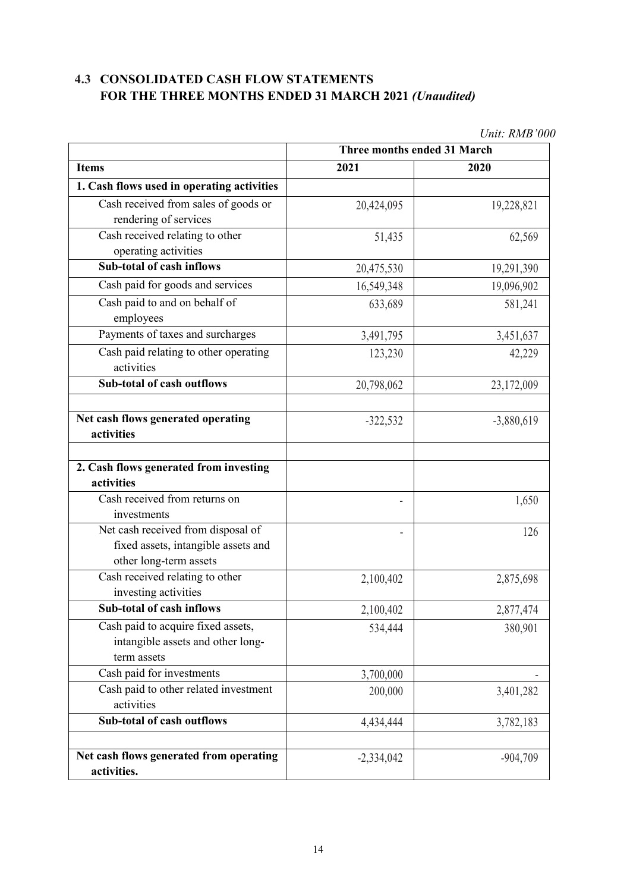# **4.3 CONSOLIDATED CASH FLOW STATEMENTS FOR THE THREE MONTHS ENDED 31 MARCH 2021** *(Unaudited)*

|                                                                                                     | Three months ended 31 March |              |
|-----------------------------------------------------------------------------------------------------|-----------------------------|--------------|
| <b>Items</b>                                                                                        | 2021                        | 2020         |
| 1. Cash flows used in operating activities                                                          |                             |              |
| Cash received from sales of goods or<br>rendering of services                                       | 20,424,095                  | 19,228,821   |
| Cash received relating to other<br>operating activities                                             | 51,435                      | 62,569       |
| <b>Sub-total of cash inflows</b>                                                                    | 20,475,530                  | 19,291,390   |
| Cash paid for goods and services                                                                    | 16,549,348                  | 19,096,902   |
| Cash paid to and on behalf of<br>employees                                                          | 633,689                     | 581,241      |
| Payments of taxes and surcharges                                                                    | 3,491,795                   | 3,451,637    |
| Cash paid relating to other operating<br>activities                                                 | 123,230                     | 42,229       |
| <b>Sub-total of cash outflows</b>                                                                   | 20,798,062                  | 23,172,009   |
| Net cash flows generated operating<br>activities                                                    | $-322,532$                  | $-3,880,619$ |
| 2. Cash flows generated from investing<br>activities                                                |                             |              |
| Cash received from returns on<br>investments                                                        |                             | 1,650        |
| Net cash received from disposal of<br>fixed assets, intangible assets and<br>other long-term assets |                             | 126          |
| Cash received relating to other<br>investing activities                                             | 2,100,402                   | 2,875,698    |
| Sub-total of cash inflows                                                                           | 2,100,402                   | 2,877,474    |
| Cash paid to acquire fixed assets,<br>intangible assets and other long-<br>term assets              | 534,444                     | 380,901      |
| Cash paid for investments                                                                           | 3,700,000                   |              |
| Cash paid to other related investment<br>activities                                                 | 200,000                     | 3,401,282    |
| <b>Sub-total of cash outflows</b>                                                                   | 4,434,444                   | 3,782,183    |
| Net cash flows generated from operating<br>activities.                                              | $-2,334,042$                | $-904,709$   |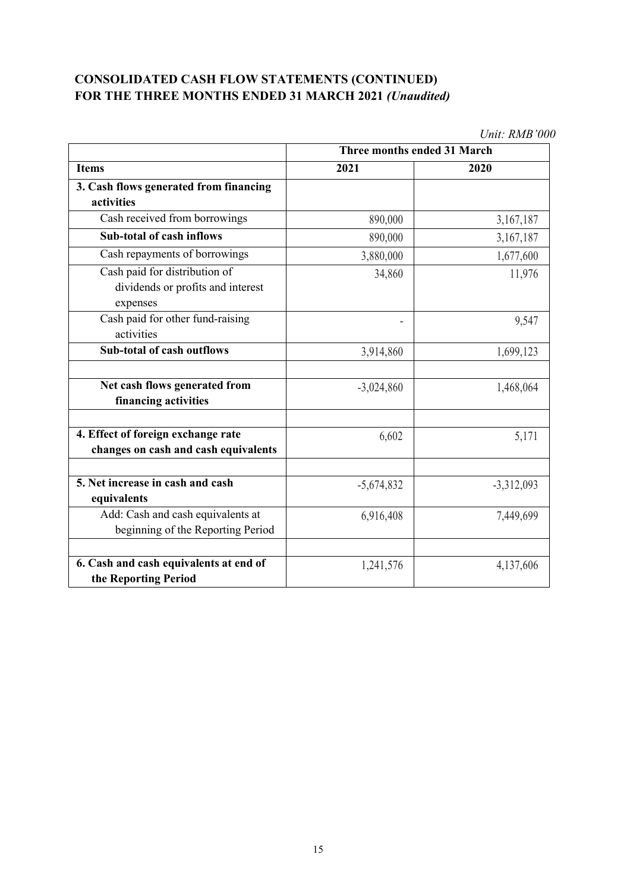# **CONSOLIDATED CASH FLOW STATEMENTS (CONTINUED) FOR THE THREE MONTHS ENDED 31 MARCH 2021** *(Unaudited)*

|                                                                                | UNII. KMD VVV               |              |
|--------------------------------------------------------------------------------|-----------------------------|--------------|
| <b>Items</b>                                                                   | Three months ended 31 March |              |
|                                                                                | 2021                        | 2020         |
| 3. Cash flows generated from financing                                         |                             |              |
| activities                                                                     |                             |              |
| Cash received from borrowings                                                  | 890,000                     | 3,167,187    |
| <b>Sub-total of cash inflows</b>                                               | 890,000                     | 3,167,187    |
| Cash repayments of borrowings                                                  | 3,880,000                   | 1,677,600    |
| Cash paid for distribution of<br>dividends or profits and interest<br>expenses | 34,860                      | 11,976       |
| Cash paid for other fund-raising<br>activities                                 | ٠                           | 9,547        |
| <b>Sub-total of cash outflows</b>                                              | 3,914,860                   | 1,699,123    |
| Net cash flows generated from<br>financing activities                          | $-3,024,860$                | 1,468,064    |
| 4. Effect of foreign exchange rate<br>changes on cash and cash equivalents     | 6,602                       | 5,171        |
| 5. Net increase in cash and cash<br>equivalents                                | $-5,674,832$                | $-3,312,093$ |
| Add: Cash and cash equivalents at<br>beginning of the Reporting Period         | 6,916,408                   | 7,449,699    |
| 6. Cash and cash equivalents at end of<br>the Reporting Period                 | 1,241,576                   | 4,137,606    |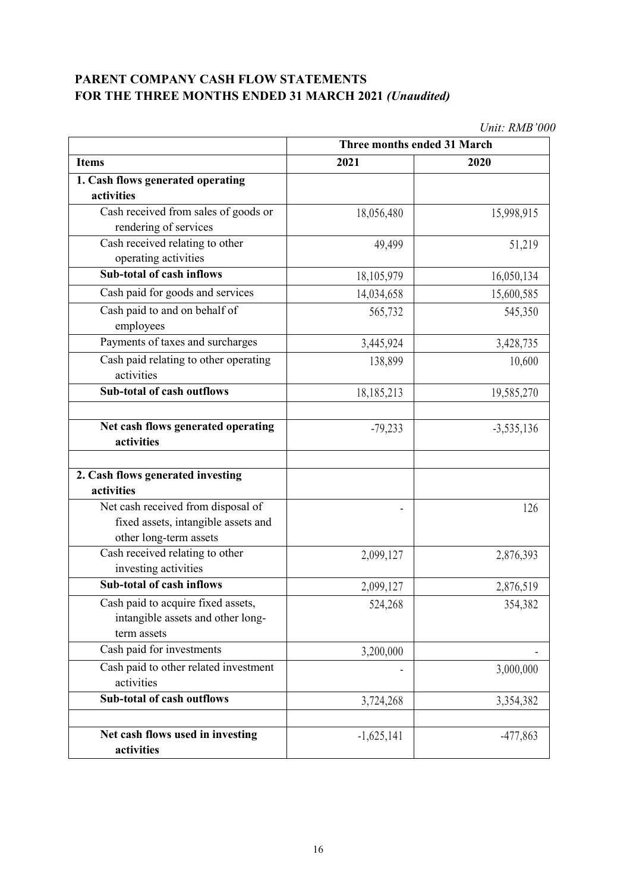## **PARENT COMPANY CASH FLOW STATEMENTS FOR THE THREE MONTHS ENDED 31 MARCH 2021** *(Unaudited)*

|                                       | Three months ended 31 March |              |
|---------------------------------------|-----------------------------|--------------|
| <b>Items</b>                          | 2021                        | 2020         |
| 1. Cash flows generated operating     |                             |              |
| activities                            |                             |              |
| Cash received from sales of goods or  | 18,056,480                  | 15,998,915   |
| rendering of services                 |                             |              |
| Cash received relating to other       | 49,499                      | 51,219       |
| operating activities                  |                             |              |
| <b>Sub-total of cash inflows</b>      | 18,105,979                  | 16,050,134   |
| Cash paid for goods and services      | 14,034,658                  | 15,600,585   |
| Cash paid to and on behalf of         | 565,732                     | 545,350      |
| employees                             |                             |              |
| Payments of taxes and surcharges      | 3,445,924                   | 3,428,735    |
| Cash paid relating to other operating | 138,899                     | 10,600       |
| activities                            |                             |              |
| <b>Sub-total of cash outflows</b>     | 18,185,213                  | 19,585,270   |
|                                       |                             |              |
| Net cash flows generated operating    | $-79,233$                   | $-3,535,136$ |
| activities                            |                             |              |
|                                       |                             |              |
| 2. Cash flows generated investing     |                             |              |
| activities                            |                             |              |
| Net cash received from disposal of    |                             | 126          |
| fixed assets, intangible assets and   |                             |              |
| other long-term assets                |                             |              |
| Cash received relating to other       | 2,099,127                   | 2,876,393    |
| investing activities                  |                             |              |
| Sub-total of cash inflows             | 2,099,127                   | 2,876,519    |
| Cash paid to acquire fixed assets,    | 524,268                     | 354,382      |
| intangible assets and other long-     |                             |              |
| term assets                           |                             |              |
| Cash paid for investments             | 3,200,000                   |              |
| Cash paid to other related investment |                             | 3,000,000    |
| activities                            |                             |              |
| Sub-total of cash outflows            | 3,724,268                   | 3,354,382    |
|                                       |                             |              |
| Net cash flows used in investing      | $-1,625,141$                | $-477,863$   |
| activities                            |                             |              |
|                                       |                             |              |